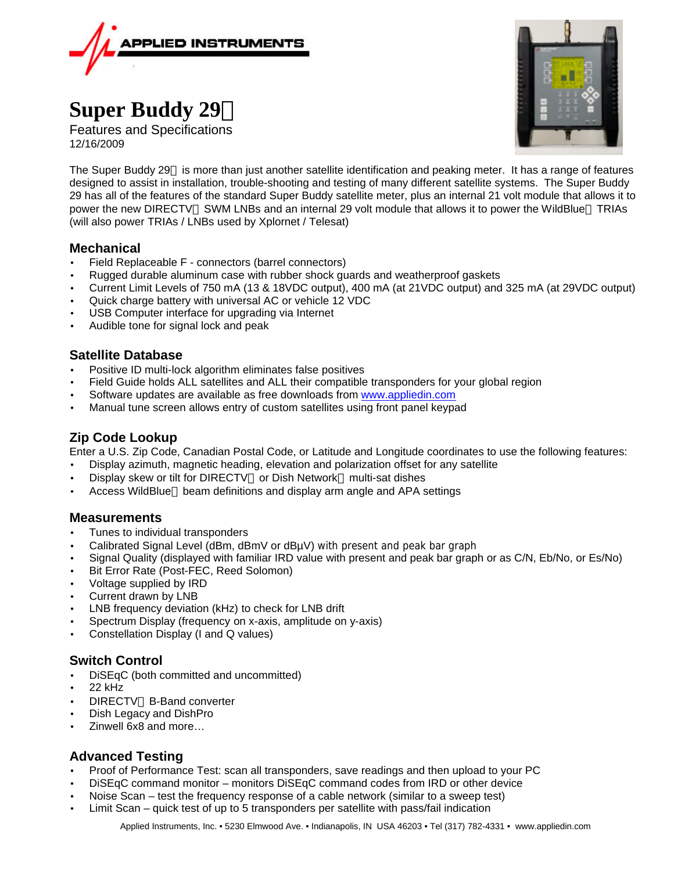

# **Super Buddy 29ä**

Features and Specifications 12/16/2009



The Super Buddy 29™ is more than just another satellite identification and peaking meter. It has a range of features designed to assist in installation, trouble-shooting and testing of many different satellite systems. The Super Buddy 29 has all of the features of the standard Super Buddy satellite meter, plus an internal 21 volt module that allows it to power the new DIRECTV™ SWM LNBs and an internal 29 volt module that allows it to power the WildBlue™ TRIAs (will also power TRIAs / LNBs used by Xplornet / Telesat)

# **Mechanical**

- Field Replaceable F connectors (barrel connectors)
- Rugged durable aluminum case with rubber shock guards and weatherproof gaskets
- Current Limit Levels of 750 mA (13 & 18VDC output), 400 mA (at 21VDC output) and 325 mA (at 29VDC output)
- Quick charge battery with universal AC or vehicle 12 VDC
- USB Computer interface for upgrading via Internet
- Audible tone for signal lock and peak

# **Satellite Database**

- Positive ID multi-lock algorithm eliminates false positives
- Field Guide holds ALL satellites and ALL their compatible transponders for your global region
- Software updates are available as free downloads from www.appliedin.com
- Manual tune screen allows entry of custom satellites using front panel keypad

# **Zip Code Lookup**

Enter a U.S. Zip Code, Canadian Postal Code, or Latitude and Longitude coordinates to use the following features:

- Display azimuth, magnetic heading, elevation and polarization offset for any satellite
- Display skew or tilt for DIRECTV™ or Dish Network™ multi-sat dishes
- Access WildBlue<sup>™</sup> beam definitions and display arm angle and APA settings

## **Measurements**

- Tunes to individual transponders
- Calibrated Signal Level (dBm, dBmV or dBµV) with present and peak bar graph
- Signal Quality (displayed with familiar IRD value with present and peak bar graph or as C/N, Eb/No, or Es/No)
- Bit Error Rate (Post-FEC, Reed Solomon)
- Voltage supplied by IRD
- Current drawn by LNB
- LNB frequency deviation (kHz) to check for LNB drift
- Spectrum Display (frequency on x-axis, amplitude on y-axis)
- Constellation Display (I and Q values)

# **Switch Control**

- DiSEqC (both committed and uncommitted)
- 22 kHz
- **DIRECTV<sup>™</sup> B-Band converter**
- Dish Legacy and DishPro
- Zinwell 6x8 and more…

# **Advanced Testing**

- Proof of Performance Test: scan all transponders, save readings and then upload to your PC
- DiSEqC command monitor monitors DiSEqC command codes from IRD or other device
- Noise Scan test the frequency response of a cable network (similar to a sweep test)
- Limit Scan quick test of up to 5 transponders per satellite with pass/fail indication